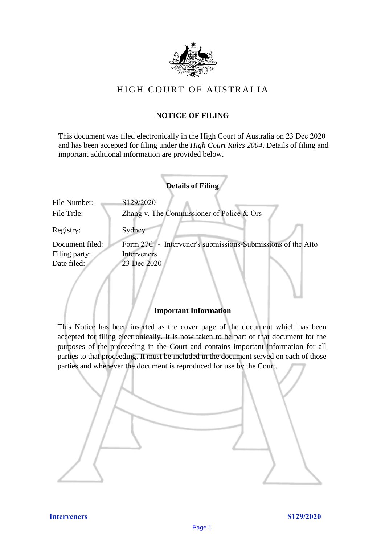

# HIGH COURT OF AU STRALIA HIGH COURT OF AUSTRALIA

# **NOTICE OF FILING** NOTICE OF FILING

This document was filed electronically in the High Court of Australia on 23 Dec 2020 This document was filed electronically in the High Court of Australia <sup>20</sup> and has been accepted for filing under the *High Court Rules 2004*. Details of filing and important additional information are provided below. important additional information are provided below.

|                             | <b>Details of Filing</b>                                    |
|-----------------------------|-------------------------------------------------------------|
| File Number:<br>File Title: | S129/2020<br>Zhang v. The Commissioner of Police & Ors      |
| Registry:                   | Sydney                                                      |
| Document filed:             | Form 27C - Intervener's submissions-Submissions of the Atto |
| Filing party:               | Interveners                                                 |
| Date filed:                 | 23 Dec 2020                                                 |
|                             |                                                             |

## **Important Information** Important Information

This Notice has been inserted as the cover page of the document which has been accepted for filing electronically. It is now taken to be part of that document for the purposes of the proceeding in the Court and contains important information for all parties to that proceeding. It must be included in the document served on each of those parties and whenever the document is reproduced for use by the Court. parties and whenever the document is reproduced for use by the Court

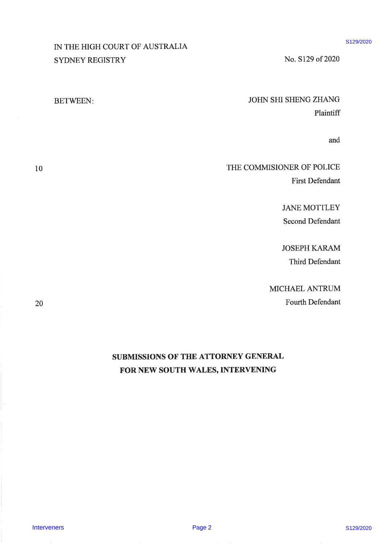# IN THE HIGH COURT OF AUSTRALIA IN THE HIGH COURT OF AUSTRALIA SYDNEY REGISTRY SYDNEY REGISTRY

# JOHN SHI SHENG ZHANG JOHN SHI SHENG ZHANG Plaintiff Plaintiff

No. 5129 of 2020 No. 8129 of 2020

and and

# THE COMMISIONER OF POLICE THE COMMISIONER OF POLICE First Defendant First Defendant

JANE MOTTLEY JANE MOTTLEY Second Defendant Second Defendant

JOSEPH KARAM JOSEPH KARAM Third Defendant Third Defendant

MICHAEL ANTRUM MICHAEL ANTRUM Fourth Defendant Fourth Defendant

# SUBMISSIONS OF' THE ATTORNEY GENERAL SUBMISSIONS OF THE ATTORNEY GENERAL FOR NEW SOUTH WALES, INTERVENING IN THE HIGH COURT OF AUSTRALIA<br>
SYDNEY REUGSTRY<br>
STENEORS:<br>
BETWEEN:<br>
BETWEEN:<br>
BETWEEN:<br>
SUBNESSION STEAD STEAD POLICE<br>
FRIES COMMISSIONS OF THE COMMISSIONS OF POLICE<br>
SEEM EAR MOTTLEY<br>
SEEM Delivering<br>
MICHAEL AVEN SOUTH

\$129/2020

10 10

20 20

BETWEEN BETWEEN: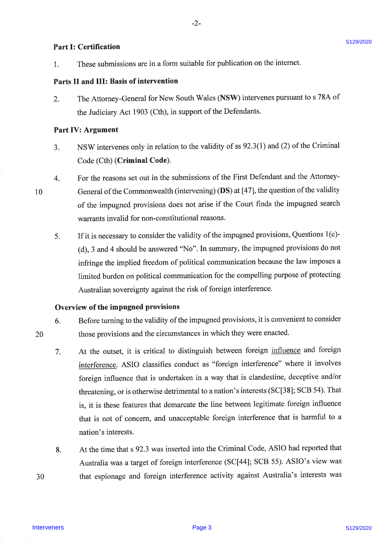# Part I: Certification  $\frac{1}{2}$  S129/2020

1. These submissions are in a form suitable for publication on the internet. 1. These submissions are in a form suitable for publication on the internet.

# Parts II and III: Basis of intervention Parts II and III: Basis of intervention

2. The Attorney-General for New South Wales (NSW) intervenes pursuant to s 78A of the Judiciary Act 1903 (Cth), in support of the Defendants. the Judiciary Act 1903 (Cth), in support of the Defendants.

## Part IV: Argument Part IV: Argument

- 3. NSW intervenes only in relation to the validity of ss 92.3(1) and (2) of the Criminal Code (Cth) (Criminal Code). Code (Cth) (Criminal Code).
- 4. For the reasons set out in the submissions of the First Defendant and the Attorney-4. For the reasons set out in the submissions of the First Defendant and the Attorney-10 General of the Commonwealth (intervening) (DS) at [47], the question of the validity of the impugned provisions does not arise if the Court finds the impugned search warrants invalid for non-constitutional reasons. warrants invalid for non-constitutional reasons.
	- 5. If it is necessary to consider the validity of the impugned provisions, Questions l(c)- 5. If it is necessary to consider the validity of the impugned provisions, Questions 1(c)- (d), 3 and 4 should be answered "No". In summary, the impugned provisions do not (d), <sup>3</sup> and 4 should be answered "No". In summary, the impugned provisions do not infringe the implied freedom of political communication because the law imposes <sup>a</sup> infringe the implied freedom of political communication because the law imposes alimited burden on political communication for the compelling purpose of protecting limited burden on political communication for the compelling purpose of protecting Australian sovereignty against the risk of foreign interference. Australian sovereignty against the risk of foreign interference.

### Overview of the impugned provisions Overview of the impugned provisions

- 6. Before turning to the validity of the impugned provisions, it is convenient to consider those provisions and the circumstances in which they were enacted. 20 those provisions and the circumstances in which they were enacted.
- 7. At the outset, it is critical to distinguish between foreign influence and foreign 7. At the outset, it is critical to distinguish between foreign influence and foreign interference. ASIO classifies conduct as "foreign interference" where it involves foreign influence that is undertaken in a way that is clandestine, deceptive and/or threatening, or is otherwise detrimental to a nation's interests (SC[38]; SCB 54). That threatening, or is otherwise detrimental to a nation's interests (SC[38]; SCB 54). That is, it is these features that demarcate the line between legitimate foreign influence is, it is these features that demarcate the line between legitimate foreign influence that is not of concern, and unacceptable foreign interference that is harmful to a nation's interests. nation's interests. **Part I: Certification**<br>
1. Those arbitrations one in a form emitable for publication on the internet.<br>
1. The Attornay-General for Now South Walter (NSW) intervenes pursuant to s 78A of<br>
1. The Attornay-General for Now S
	- 8. At the time that s 92.3 was inserted into the Criminal Code, ASIO had reported that Australia was a target of foreign interference (SC[44]; SCB 55). ASIO's view was that espionage and foreign interference activity against Australia's interests was 30 30 that espionage and foreign interference activity against Australia's interests was

10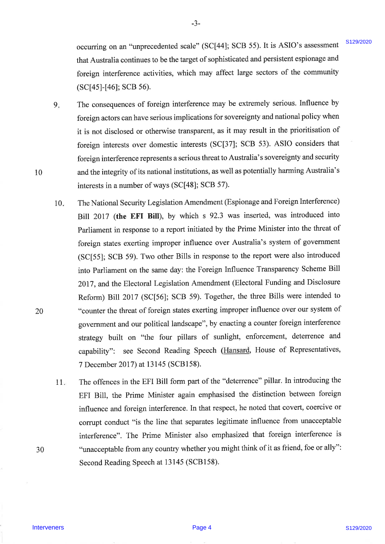occurring on an "unprecedented scale" (SC[44]; SCB 55). It is ASIO's assessment that Australia continues to be the target of sophisticated and persistent espionage and that Australia continues to be the target of sophisticated and persistent espionage and foreign interference activities, which may affect large sectors of the community foreign interference activities, which may affect large sectors of the community (SC[4s]-[46]; SCB s6). (SC[45]-[46]; SCB 56).

- 9 9. The consequences of foreign interference may be extremely serious. Influence by The consequences of foreign interference may be extremely serious. Influence by foreign actors can have serious implications for sovereignty and national policy when foreign actors canhave serious implications for sovereignty and national policy when it is not disclosed or otherwise transparent, as it may result in the prioritisation of foreign interests over domestic interests (SC[37]; SCB 53). ASIO considers that foreign interests over domestic interests (SC[37]; SCB 53). ASIO considers that foreign interference represents a serious threat to Australia's sovereignty and security and the integrity of its national institutions, as well as potentially harming Australia's interests in a number of ways (SC[48]; SCB 57).
- The National Security Legislation Amendment (Espionage and Foreign Interference) The National Security Legislation Amendment (Espionage and Foreign Interference)Bill 2017 (the EFI Bill), by which s 92.3 was inserted, was introduced into Bill 2017 (the EFI Bill), by which <sup>s</sup> 92.3 was inserted, was introduced into Parliament in response to a report initiated by the Prime Minister into the threat of Parliament in response to a report initiated by the Prime Minister into the threat of foreign states exerting improper influence over Australia's system of government foreign states exerting improper influence over Australia's system of government(SC[55]; SCB 59). Two other Bills in response to the report were also introduced (SC[55]; SCB 59). Two other Bills in response to the report were also introduced into Parliament on the same day: the Foreign Influence Transparency Scheme Bill into Parliament on the same day: the Foreign Influence Transparency Scheme Bill 2017, and the Electoral Legislation Amendment (Electoral Funding and Disclosure 2017, and the Electoral Legislation Amendment (Electoral Funding and DisclosureReform) Bill2017 (SC[56]; SCB 59). Together, the three Bills were intended to Reform) Bill 2017 (SC[56]; SCB 59). Together, the three Bills were intended to "counter the threat of foreign states exerting improper influence over our system of government and our political landscape", by enacting a counter foreign interference government and our political landscape", by enacting a counter foreign interferencestrategy built on "the four pillars of sunlight, enforcement, deterrence and strategy built on "the four pillars of sunlight, enforcement, deterrence andcapability": see Second Reading Speech (Hansard, House of Representatives 7 December 2017) at 13145 (SCBl58). 7 December 2017) at 13145 (SCB158).10 10. occurring on n<sup>-</sup> marries colorated intervents ( $S(14)$  is ( $S(14)$  is a ASS) is assessment ( $S(2)$  and  $S(3)$  in a ASS/2) associates the behaviorating by the community ( $S(14)$ <sup>14</sup>46) Revelate interveners solicities, whi
	- The offences in the EFI Bill form part of the "deterrence" pillar. In introducing the The offences in the EFI Bill form part of the "deterrence" pillar. In introducing the EFI Bill, the Prime Minister again emphasised the distinction between foreign EFI Bill, the Prime Minister again emphasised the distinction between foreign influence and foreign interference. In that respect, he noted that covert, coercive or corrupt conduct "is the line that separates legitimate influence from unacceptable interference". The Prime Minister also emphasized that foreign interference is "unacceptable from any country whether you might think of it as friend, foe or ally": "unacceptable from any country whether you might think of it as friend, foe or ally": Second Reading Speech at 13145 (SCB158)' Second Reading Speech at 13145 (SCB158). 11 11.

10 10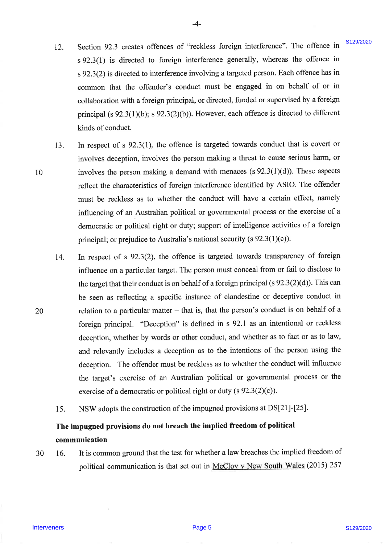12. 12. Section 92.3 creates offences of "reckless foreign interference". The offence in <sup>s</sup>92.3(1) is directed to foreign interference generally, whereas the offence in <sup>s</sup> 92.3(1) is directed to foreign interference generally, whereas the offence in s 92.3(2) is directed to interference involving a targeted person. Each offence has in <sup>s</sup> 92.3(2) is directed to interference involving a targeted person. Each offence has in common that the offender's conduct must be engaged in on behalf of or in collaboration with a foreign principal, or directed, funded or supervised by a foreign collaboration with a foreign principal, or directed, funded or supervised by a foreignprincipal (s 92.3(1)(b); s 92.3(2)(b)). However, each offence is directed to different principal (s 92.3(1)(b); <sup>s</sup> 92.3(2)(b)). However, each offence is directed to different kinds of conduct. kinds of conduct.

-4- -4-

- 13. In respect of s 92.3(l), the offence is targeted towards conduct that is covert or In respect of <sup>s</sup> 92.3(1), the offence is targeted towards conduct that is covert or involves deception, involves the person making a threat to cause serious harm, or involves deception, involves the person making a threat to cause serious harm, or 10 involves the person making a demand with menaces (s  $92.3(1)(d)$ ). These aspects reflect the characteristics of foreign interference identified by ASIO. The offender must be reckless as to whether the conduct will have a certain effect, namely must be reckless as to whether the conduct will have a certain effect, namely influencing of an Australian political or govemmental process or the exercise of <sup>a</sup> influencing of an Australian political or governmental process or the exercise of a democratic or political right or duty; support of intelligence activities of a foreign democratic or political right or duty; support of intelligence activities of a foreign principal; or prejudice to Australia's national security (s  $92.3(1)(c)$ ). 13.
- 14. In respect of s 92.3(2), the offence is targeted towards transparency of foreign In respect of <sup>s</sup> 92.3(2), the offence is targeted towards transparency of foreigninfluence on a particular target. The person must conceal from or fail to disclose to the target that their conduct is on behalf of a foreign principal (s  $92.3(2)(d)$ ). This can be seen as reflecting a specific instance of clandestine or deceptive conduct in be seen as reflecting a specific instance of clandestine or deceptive conduct in 20 relation to a particular matter - that is, that the person's conduct is on behalf of <sup>a</sup> relation to a particular matter — that is, that the person's conduct is on behalf of aforeign principal. "Deception" is defined in s 92.1 as an intentional or reckless foreign principal. "Deception" is defined in <sup>s</sup> 92.1 as an intentional or reckless deception, whether by words or other conduct, and whether as to fact or as to law, deception, whether by words or other conduct, and whether as to fact or as to law, and relevantly includes a deception as to the intentions of the person using the and relevantly includes a deception as to the intentions of the person using the deception. The offender must be reckless as to whether the conduct will influence deception. The offender must be reckless as to whether the conduct will influence the target's exercise of an Australian political or govemmental process or the the target's exercise of an Australian political or governmental process or the exercise of a democratic or political right or duty (s  $92.3(2)(c)$ ). 12. Section 9.25 or extension there is diversion for includes foreign interference permally, whoreas the column of the solid street of original interference permally, whoreas the offerice has in common that the collision 14.
	- 15. NSW adopts the construction of the impugned provisions at DS[21]-[25]. NSW adopts the construction of the impugned provisions at DS[21]-[25]. 15.

# The impugned provisions do not breach the imptied freedom of political The impugned provisions do not breach the implied freedom of political communication communication

30 16. It is common ground that the test for whether a law breaches the implied freedom of political communication is that set out in McCloy v New South Wales (2015) 257 30 16.

20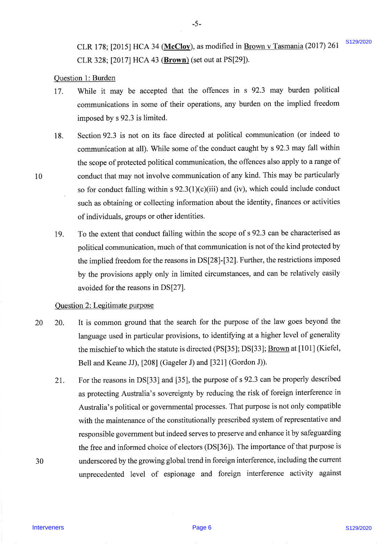CLR 178; [2015] HCA 34 (McCloy), as modified in Brown v Tasmania (2017) 261 CLR 328; [2017) HCA 43 (Brown) (set out at PS[29]). CLR 328; [2017] HCA 43 (Brown) (set out at PS[29]). \$129/2020

### Question 1: Burden Question 1: Burden

17. While it may be accepted that the offences in s 92.3 may burden political While it may be accepted that the offences in <sup>s</sup> 92.3 may burden political communications in some of their operations, any burden on the implied freedom communications in some of their operations, any burden on the implied freedom imposed by s 92.3 is limited. imposed by <sup>s</sup> 92.3 is limited. 17.

5 5-

- 18. Section 92.3 is not on its face directed at political communication (or indeed to Section 92.3 is not on its face directed at political communication (or indeed to communication at all). While some of the conduct caught by s 92.3 may fall within the scope of protected political communication, the offences also apply to a range of conduct that may not involve communication of any kind. This may be particularly conduct that may not involve communication of any kind. This may be particularlyso for conduct falling within  $s \frac{92.3(1)(c)}{ii}$  and (iv), which could include conduct such as obtaining or collecting information about the identity, finances or activities such as obtaining or collecting information about the identity, finances or activities of individuals, groups or other identities. of individuals, groups or other identities. 18.
- lg. To the extent that conduct falling within the scope of s 92.3 can be characterised as To the extent that conduct falling within the scope of <sup>s</sup> 92.3 can be characterised as political communication, much of that communication is not of the kind protected by political communication, much of that communication is not ofthe kind protected by the implied freedom for the reasons in DS[28]-[32]. Further, the restrictions imposed the implied freedom for the reasons in DS[28]-[32]. Further, the restrictions imposedby the provisions apply only in limited circumstances, and can be relatively easily by the provisions apply only in limited circumstances, and can be relatively easily avoided for the reasons in DS[27]. avoided for the reasons in DS[27]. 19.

### Question 2: Legitimate purpose

- 20 20. It is common ground that the search for the purpose of the law goes beyond the language used in particular provisions, to identifying at a higher level of generality the mischief to which the statute is directed (PS[35]; DS[33]; Brown at [101] (Kiefel, Bell and Keane JJ), [20S] (Gageler J) and [321] (Gordon J)). Bell and Keane JJ), [208] (Gageler J) and [321] (Gordon J)). 20.
- 2I. For the reasons in DS[33] and [35], the purpose of s 92.3 can be properly described For the reasons in DS[33] and [35], the purpose of <sup>s</sup> 92.3 can be properly described as protecting Australia's sovereignty by reducing the risk of foreign interference in as protecting Australia's sovereignty by reducing the risk of foreign interference in Australia's political or governmental processes. That purpose is not only compatible with the maintenance of the constitutionally prescribed system of representative and responsible govemment but indeed serves to preserve and enhance it by safeguarding responsible government but indeed serves to preserve and enhance it by safeguarding the free and informed choice of electors (DS[36]). The importance of that purpose is underscored by the growing global trend in foreign interference, including the current underscored by the growing global trend in foreign interference, including the current unprecedented level of espionage and foreign interference activity against unprecedented level of espionage and foreign interference activity against CIR 178; [2025] HKA 34 <u>(MacChue</u>), as modified in <u>Brown v. Tusmunin</u> (2017) 261 <sup>8138</sup>/2020<br>
11. 8 328; [2017] HKA 43 (<u>Brown)</u> (for total at PS(29).<br>
20 <u>modified</u> in may be associated and the offense in s 92.3 may bur 21.

l0 10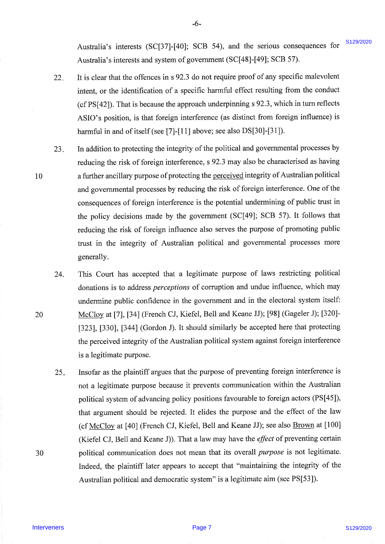Australia's interests (SC[37]-[40]; SCB 54), and the serious consequences for Australia's interests and system of government (SC[48]-[49]; SCB 57). \$129/2020

22 22. It is clear that the offences in s 92.3 do not require proof of any specific malevolent It is clear that the offences in <sup>s</sup> 92.3 do not require proof of any specific malevolent intent, or the identification of a specific harmful effect resulting from the conduct intent, or the identification of a specific harmful effect resulting from the conduct (cf PS[a2]). That is because the approach underpinning s92.3, which in turn reflects (cf PS[42]). That is because the approach underpinning <sup>s</sup> 92.3, which in turn reflectsASIO's position, is that foreign interference (as distinct from foreign influence) is ASIO's position, is that foreign interference (as distinct from foreign influence) is harmful in and of itself (see [7]-[11] above; see also DS[30]-[31]). harmful in and of itself (see [7]-[11] above; see also DS[30]-[31]).

-6- 6s

- 23 23. In addition to protecting the integrity of the political and governmental processes by In addition to protecting the integrity of the political and governmental processes by reducing the risk of foreign interference, s 92.3 may also be characterised as having a further ancillary purpose of protecting the perceived integrity of Australian political and govemmental processes by reducing the risk of foreign interference. One of the and governmental processes by reducing the risk of foreign interference. One of the consequences of foreign interference is the potential undermining of public trust in the policy decisions made by the government (SC[49]; SCB 57). It follows that reducing the risk of foreign influence also serves the purpose of promoting public trust in the integrity of Australian political and governmental processes more trust in the integrity of Australian political and governmental processes more generally. generally. Accordin's interests (SC(337)-[40], SCB 54), and the serious consequences for <sup>812820</sup><br>
2. Livis clear that intervene in strongence of present of C(450)-[40], SCB 973.<br>
2.1 Livis clear that intervene intervene intervene i
	- 24. 24. This Court has accepted that a legitimate purpose of laws restricting political This Court has accepted that a legitimate purpose of laws restricting political donations is to address *perceptions* of corruption and undue influence, which may undermine public confidence in the government and in the electoral system itself: undermine public confidence in the government and in the electoral system itself: McCloy at [7], [34] (French CJ, Kiefel, Bell and Keane JJ); [98] (Gageler J); [320]-13231, [330], [3a4] (Gordon J). It should similarly be accepted here that protecting [323], [330], [344] (Gordon J). It should similarly be accepted here that protecting the perceived integrity of the Australian political system against foreign interference the perceived integrity of the Australian political system against foreign interference is a legitimate purpose. is a legitimate purpose.
	- 25 25. Insofar as the plaintiff argues that the purpose of preventing foreign interference is Insofar as the plaintiff argues that the purpose of preventing foreign interference is not a legitimate purpose because it prevents communication within the Australian not a legitimate purpose because it prevents communication within the Australian political system of advancing policy positions favourable to foreign actors (PS[45]), political system of advancing policy positions favourable to foreign actors (PS[45]), that argument should be rejected. It elides the purpose and the effect of the law that argument should be rejected. It elides the purpose and the effect of the law (cf <u>McCloy</u> at [40] (French CJ, Kiefel, Bell and Keane JJ); see also <u>Brown</u> at [100] (Kiefel CJ, Bell and Keane J)). That a law may have the *effect* of preventing certain political communication does not mean that its overall *purpose* is not legitimate. Indeed, the plaintiff later appears to accept that "maintaining the integrity of the Indeed, the plaintiff later appears to accept that "maintaining the integrity of the Australian political and democratic system" is a legitimate aim (see PS[53]). Australian political and democratic system" is a legitimate aim (see PS[53)).

10 10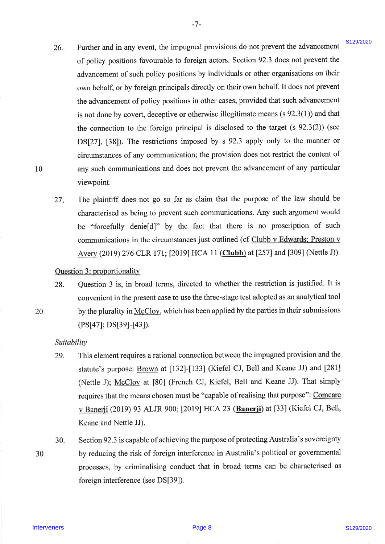26 26. Further and in any event, the impugned provisions do not prevent the advancement Further and in any event, the impugned provisions do not prevent the advancement of policy positions favourable to foreign actors. Section 92.3 does not prevent the of policy positions favourable to foreign actors. Section 92.3 does not prevent the advancement of such policy positions by individuals or other organisations on their advancement of such policy positions by individuals or other organisations on theirown behalf, or by foreign principals directly on their own behalf. It does not prevent the advancement of policy positions in other cases, provided that such advancement the advancement of policy positions in other cases, provided that such advancement is not done by covert, deceptive or otherwise illegitimate means (s 92.3(l)) and that is not done by covert, deceptive or otherwise illegitimate means (s 92.3(1)) and that the connection to the foreign principal is disclosed to the target (s 92.3(2)) (see the connection to the foreign principal is disclosed to the target (s 92.3(2)) (see DS[27], [38]). The restrictions imposed by s 92.3 apply only to the manner or DS[27], [38]). The restrictions imposed by s 92.3 apply only to the manner or circumstances of any communication; the provision does not restrict the content of circumstances of any communication; the provision does not restrict the content of any such communications and does not prevent the advancement of any particular any such communications and does not prevent the advancement of any particular viewpoint. viewpoint. 26. If urber and in any overal, the intergened providents do to prevent the advantancement of the properties of the properties of the properties of the properties of the properties of the properties of the properties of t

-7- 7.

The plaintiff does not go so far as claim that the purpose of the law should be characterised as being to prevent such communications. Any such argument would be "forcefully denie[d]" by the fact that there is no proscription of such be "forcefully denie[d]" by the fact that there is no proscription of such communications in the circumstances just outlined (cf Clubb v Edwards; Preston v Avery (2019) 276 CLR 171; [2019] HCA 11 (Clubb) at [257] and [309] (Nettle J)). 27 27.

### Question 3: proportionality

28. Question 3 is, in broad terms, directed to whether the restriction is justified. It is Question <sup>3</sup> is, in broad terms, directed to whether the restriction is justified. It is convenient in the present case to use the three-stage test adopted as an analytical tool convenient in the present case to use the three-stage test adopted as an analytical tool by the plurality in McCloy, which has been applied by the parties in their submissions (PS [a7] ; DS[3e]-[43]). (PS[47]; DS[39]-[43]). 28.

### Suitability Suitability

- 29. This element requires a rational connection between the impugned provision and the This element requires a rational connection between the impugned provision and the statute's purpose: **Brown** at [132]-[133] (Kiefel CJ, Bell and Keane JJ) and [281] (Nettle J); McCloy at [80] (French CJ, Kiefel, Bell and Keane JJ). That simply requires that the means chosen must be "capable of realising that purpose": Comcare v Banerji (2019) 93 ALJR 900; [2019] HCA 23 (Banerii) at [33] (Kiefel CJ, Bell, v Banerji (2019) 93 ALJR 900; [2019] HCA 23 (Banerji) at [33] (Kiefel CJ, Bell, Keane and Nettle JJ). Keane and Nettle JJ). 29.
- 30 30

30. Section 92.3 is capable of achieving the purpose of protecting Australia's sovereignty by reducing the risk of foreign interference in Australia's political or governmental by reducing the risk of foreign interference in Australia's political or governmental processes, by criminalising conduct that in broad terms can be characterised as processes, by criminalising conduct that in broad terms can be characterised as foreign interference (see DS [39]). foreign interference (see DS[39]). 30.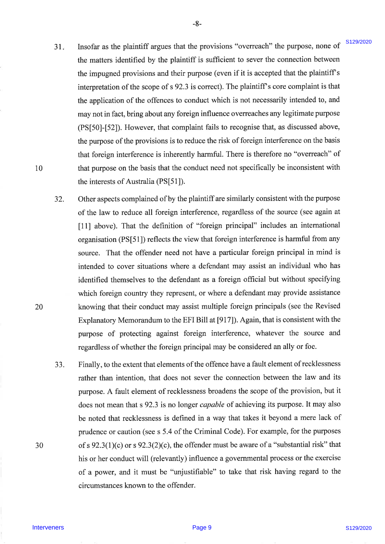31 31. Insofar as the plaintiff argues that the provisions 'ooverreach" the purpose, none of Insofar as the plaintiff argues that the provisions "overreach" the purpose, none of the matters identified by the plaintiff is sufficient to sever the connection between the matters identified by the plaintiff is sufficient to sever the connection between the impugned provisions and their purpose (even if it is accepted that the plaintiff's interpretation of the scope of s 92.3 is correct). The plaintiff's core complaint is that the application of the offences to conduct which is not necessarily intended to, and the application of the offences to conduct which is not necessarily intended to, and may not in fact, bring about any foreign influence overreaches any legitimate purpose may not in fact, bring about any foreign influence overreaches any legitimate purpose (PS[50]-[52]). However, that complaint fails to recognise that, as discussed above, (PS[50]-[52]). However, that complaint fails to recognise that, as discussed above, the purpose of the provisions is to reduce the risk of foreign interference on the basis that foreign interference is inherently harmful. There is therefore no "overreach" of that purpose on the basis that the conduct need not specifically be inconsistent with that purpose on the basis that the conduct need not specifically be inconsistent with the interests of Australia (PS[51]). the interests of Australia (PS[51]).

-8- -8-

- 32. 32. Other aspects complained of by the plaintiff are similarly consistent with the purpose of the law to reduce all foreign interference, regardless of the source (see again at [11] above). That the definition of "foreign principal" includes an intemational [11] above). That the definition of "foreign principal" includes an international organisation (PS[51]) reflects the view that foreign interference is harmful from any organisation (PS[51]) reflects the view that foreign interference is harmful from any source. That the offender need not have a particular foreign principal in mind is source. That the offender need not have a particular foreign principal in mind is intended to cover situations where a defendant may assist an individual who has intended to cover situations where a defendant may assist an individual who has identified themselves to the defendant as a foreign official but without speciffing identified themselves to the defendant as a foreign official but without specifying which foreign country they represent, or where a defendant may provide assistance which foreign country they represent, or where a defendant may provide assistance knowing that their conduct may assist multiple foreign principals (see the Revised knowing that their conduct may assist multiple foreign principals (see the Revised Explanatory Memorandum to the EFI Bill at [9I7)). Again, that is consistent with the Explanatory Memorandum to the EFI Bill at [917]). Again, that is consistent with the purpose of protecting against foreign interference, whatever the source and purpose of protecting against foreign interference, whatever the source and regardless of whether the foreign principal may be considered an ally or foe. regardless of whether the foreign principal may be considered an ally or foe. 31. Instabilite and the principles in the hypotrologic "source and the propose. The propose is the propose of the propose of the sympatom is the magnitude provide the propose of the sympatom provides the sympatom of the s
	- JJ. 33. Finally, to the extent that elements of the offence have a fault element of recklessness Finally, to the extent that elements of the offence have a fault element of recklessness rather than intention, that does not sever the connection between the law and its purpose. A fault element of recklessness broadens the scope of the provision, but it purpose. A fault element of recklessness broadens the scope of the provision, but it does not mean that s 92.3 is no longer *capable* of achieving its purpose. It may also be noted that recklessness is defined in a way that takes it beyond a mere lack of be noted that recklessness is defined in a way that takes it beyond a mere lack of prudence or caution (see s 5.4 of the Criminal Code). For example, for the purposes prudence or caution (see <sup>s</sup> 5.4 of the Criminal Code). For example, for the purposes of s  $92.3(1)(c)$  or s  $92.3(2)(c)$ , the offender must be aware of a "substantial risk" that his or her conduct will (relevantly) influence a govemmental process or the exercise his or her conduct will (relevantly) influence a governmental process or the exercise of a power, and it must be "unjustifiable" to take that risk having regard to the of a power, and it must be "unjustifiable" to take that risk having regard to the circumstances known to the offender. circumstances known to the offender.

20 20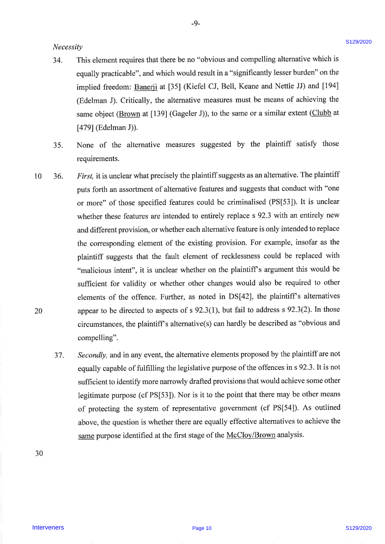### Necessity Necessity

34. This element requires that there be no "obvious and compelling alternative which is This element requires that there be no "obvious and compelling alternative which isequally practicable", andwhich would result in a "significantly lesser burden" on the equally practicable", and which would result in a "significantly lesser burden" on theimplied freedom: Banerji at [35] (Kiefel CJ, Bell, Keane and Nettle JJ) and [194] implied freedom: Banerji at [35] (Kiefel CJ, Bell, Keane and Nettle JJ) and [194] (Edelman J). Critically, the alternative measures must be means of achieving the (Edelman J). Critically, the alternative measures must be means of achieving the same object (**Brown** at [139] (Gageler J)), to the same or a similar extent (**Clubb** at \$791(Edelman J)). [479] (Edelman J)). 34.

-9-

- 35. None of the alternative measures suggested by the plaintiff satisfy those requirements. requirements. 35.
- 10 20 20 36. First, it is unclear what precisely the plaintiff suggests as an alternative. The plaintiff puts forth an assortment of alternative features and suggests that conduct with "one puts forth an assortment of alternative features and suggests that conduct with "one or more" of those specified features could be criminalised (PS[53]). It is unclear or more" of those specified features could be criminalised (PS[53]). It is unclear<br>whether these features are intended to entirely replace s 92.3 with an entirely new and different provision, or whether each alternative feature is only intended to replace and different provision, or whether each alternative feature is only intended to replace the corresponding element of the existing provision. For example, insofar as the the corresponding element of the existing provision. For example, insofar as the plaintiff suggests that the fault element of recklessness could be replaced with plaintiff suggests that the fault element of recklessness could be replaced with "malicious intent", it is unclear whether on the plaintiff's argument this would be sufficient for validity or whether other changes would also be required to other sufficient for validity or whether other changes would also be required to otherelements of the offence. Further, as noted in DS[42], the plaintiff s alternatives elements of the offence. Further, as noted in DS[42], the plaintiff's alternativesappear to be directed to aspects of  $s$  92.3(1), but fail to address  $s$  92.3(2). In those circumstances, the plaintiff s alternative(s) can hardly be described as "obvious and circumstances, the plaintiffs alternative(s) can hardly be described as "obvious and compelling". compelling". Neerarity<br>
2618/2021<br>
Neerarity is close to the control of the method and the competiting disturbation of the competition of the competition of the competition of the competition of the competition of the competition of t 10 »=36.
	- <sup>37</sup>. Secondly, and in any event, the alternative elements proposed by the plaintiff are not Secondly, and in any event, the alternative elements proposed by the plaintiff are not equally capable of fulfilling the legislative purpose of the offences in s 92.3. It is not equally capable of fulfilling the legislative purpose of the offences in <sup>s</sup> 92.3. It is not sufficient to identify more narrowly drafted provisions that would achieve some other legitimate purpose (cf PS[53]). Nor is it to the point that there may be other means legitimate purpose (cf PS[53]). Nor is it to the point that there may be other means of protecting the system of representative government (cf PS[5a]). As outlined of protecting the system of representative government (cf PS[54]). As outlined above, the question is whether there are equally effective alternatives to achieve the above, the question is whether there are equally effective alternatives to achieve the same purpose identified at the first stage of the McCloy/Brown analysis 37.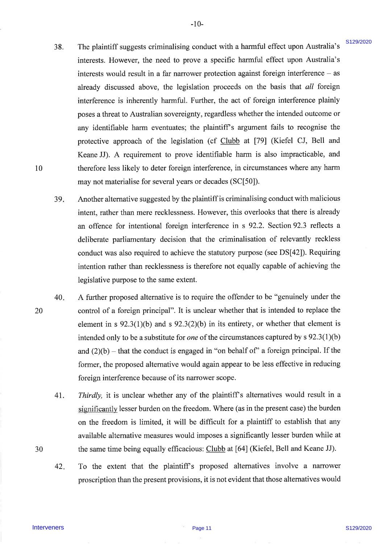38. 38. The plaintiff suggests criminalising conduct with a harmful effect upon Australia's The plaintiff suggests criminalising conduct with a harmful effect upon Australia's interests. However, the need to prove a specific harmful effect upon Australia's interests. However, the need to prove a specific harmful effect upon Australia's interests would result in a far narrower protection against foreign interference - as already discussed above, the legislation proceeds on the basis that all foreign already discussed above, the legislation proceeds on the basis that all foreigninterference is inherently harmful. Further, the act of foreign interference plainly poses a threat to Australian sovereignty, regardless whether the intended outcome or poses a threat to Australian sovereignty, regardless whether the intended outcome or any identifiable harm eventuates; the plaintiff's argument fails to recognise the protective approach of the legislation (cf Clubb at [79] (Kiefel CJ, Bell and Keane JJ). A requirement to prove identifiable harm is also impracticable, and Keane JJ). A requirement to prove identifiable harm is also impracticable, and therefore less likely to deter foreign interference, in circumstances where any harm therefore less likely to deter foreign interference, in circumstances where any harm may not materialise for several years or decades (SC[50]). may not materialise for several years or decades (SC[50]).38. The plaintif magness criticality consider which internal of first upper Attention of the stress of the stress of the stress of the stress of the stress of the stress of the stress of the stress of the stress of the st

-10- -10-

- 39 39. Another alternative suggested by the plaintiff is criminalising conduct with malicious intent, rather than mere recklessness. However, this overlooks that there is already intent, rather than mere recklessness. However, this overlooks that there is already an offence for intentional foreign interference in s 92.2. Section92.3 reflects <sup>a</sup> an offence for intentional foreign interference in <sup>s</sup> 92.2. Section 92.3 reflects a deliberate parliamentary decision that the criminalisation of relevantly reckless deliberate parliamentary decision that the criminalisation of relevantly reckless conduct was also required to achieve the statutory purpose (see DS[42]). Requiring intention rather than recklessness is therefore not equally capable of achieving the legislative purpose to the same extent. legislative purpose to the same extent.
- 40 40. A further proposed alternative is to require the offender to be "genuinely under the control of a foreign principal". It is unclear whether that is intended to replace the element in s  $92.3(1)(b)$  and s  $92.3(2)(b)$  in its entirety, or whether that element is intended only to be a substitute for *one* of the circumstances captured by s  $92.3(1)(b)$ and  $(2)(b)$  – that the conduct is engaged in "on behalf of" a foreign principal. If the former, the proposed alternative would again appear to be less effective in reducing former, the proposed alternative would again appear to be less effective in reducing foreign interference because of its narrower scope. foreign interference because of its narrower scope.
	- 4t. 41. Thirdly, it is unclear whether any of the plaintiff's alternatives would result in a significantly lesser burden on the freedom. Where (as in the present case) the burden significantly lesser burden on the freedom. Where (as in the present case) the burden on the freedom is limited, it will be difficult for a plaintiff to establish that any on the freedom is limited, it will be difficult for a plaintiff to establish that any available alternative measures would imposes a significantly lesser burden while at available alternative measures would imposes a significantly lesser burden while at the same time being equally efficacious: Clubb at [64] (Kiefel, Bell and Keane JJ).
	- To the extent that the plaintiff's proposed alternatives involve a narrower proscription than the present provisions, it is not evident that those alternatives would proscription than the present provisions, it is not evident that those alternatives would 42 42.

10 10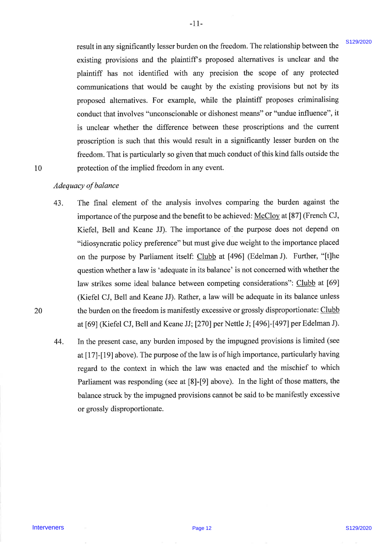result in any significantly lesser burden on the freedom. The relationship between the result in any significantly lesser burden on the freedom. The relationship between the existing provisions and the plaintiff's proposed alternatives is unclear and the plaintiff has not identified with any precision the scope of any protected plaintiff has not identified with any precision the scope of any protected communications that would be caught by the existing provisions but not by its communications that would be caught by the existing provisions but not by its proposed alternatives. For example, while the plaintiff proposes criminalising proposed alternatives. For example, while the plaintiff proposes criminalising conduct that involves "unconscionable or dishonest means" or "undue influence", it is unclear whether the difference between these proscriptions and the current is unclear whether the difference between these proscriptions and the currentproscription is such that this would result in a significantly lesser burden on the proscription is such that this would result in a significantly lesser burden on the freedom. That is particularly so given that much conduct of this kind falls outside the freedom. That is particularly so given that much conduct of this kind falls outside the protection of the implied freedom in any event. protection of the implied freedom in any event.

 $-11-$ 

### 10 10

### Adequacy of balance

- 43. The final element of the analysis involves comparing the burden against the The final element of the analysis involves comparing the burden against the importance of the purpose and the benefit to be achieved: McCloy at [87] (French CJ, Kiefel, Bell and Keane JJ). The importance of the purpose does not depend on "idiosyncratic policy preference" but must give due weight to the importance placed "idiosyncratic policy preference" but must give due weight to the importance placed on the purpose by Parliament itself: Clubb at [496] (Edelman J). Further, "[t]he question whether a law is 'adequate in its balance' is not concerned with whether the law strikes some ideal balance between competing considerations": Clubb at [69] (Kiefel CJ, Bell and Keane JJ). Rather, alaw will be adequate in its balance unless (Kiefel CJ, Bell and Keane JJ). Rather, a law will be adequate in its balance unless the burden on the freedom is manifestly excessive or grossly disproportionate: Clubb at [69] (Kiefel CJ, Bell and Keane JJ; [270] per Nettle J; [496]-[497] per Edelman J). result in any significantly loses tunded each choosies. The estimation between the plasma charge points in any proposed alternatives is undeter and the plasma's existing provisions and the plasma's expected communication 43.
	- 44. In the present case, any burden imposed by the impugned provisions is limited (see In the present case, any burden imposed by the impugned provisions is limited (see at [17]-[19] above). The purpose of the law is of high importance, particularly having regard to the context in which the law was enacted and the mischief to which Parliament was responding (see at [8]-[9] above). In the light of those matters, the Parliament was responding (see at [8]-[9] above). In the light of those matters, the balance struck by the impugned provisions cannot be said to be manifestly excessive balance struck by the impugned provisions cannot be said to be manifestly excessive or grossly disproportionate. or grossly disproportionate. 44.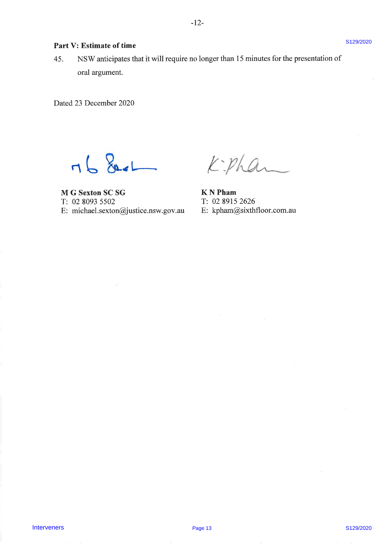# Part V: Estimate of time  $8129/2020$

45. NSW anticipates that it will require no longer than 15 minutes for the presentation of 45. | NSW anticipates that it will require no longer than <sup>15</sup> minutes for the presentation of oral argument. oral argument. Pur U. P. Estimate of the eliminate for the presentation of<br>  $\overline{45}$ . SISW mately<br>
ured arguments.<br>
U. Ducal 23 December 2020<br>
Page 13<br>  $\overline{12}$ . C. Report SCSG<br>
P. Ducal 23 December 2020<br>
P. D. Report SCSG<br>
E. michael

Dated 23 December 2020 Dated 23 December 2020

 $-168$ 

M G Sexton SC SG K N Pham T: 02 8093 5502 T: 02 8093 5502 T: 02 8915 2626 E: michael.sexton@justice.nsw.gov.au E: michael.sexton@justice.nsw.gov.au E: kpham@sixthfloor.com.au

K N Pham T:0289152626 E: kpham@sixthfloor.com.au